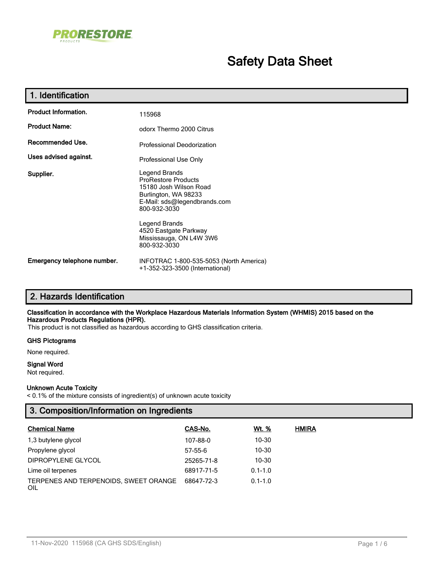

# **Safety Data Sheet**

| 1. Identification           |                                                                                                                                                                                                                                    |  |  |  |
|-----------------------------|------------------------------------------------------------------------------------------------------------------------------------------------------------------------------------------------------------------------------------|--|--|--|
| <b>Product Information.</b> | 115968                                                                                                                                                                                                                             |  |  |  |
| <b>Product Name:</b>        | odorx Thermo 2000 Citrus                                                                                                                                                                                                           |  |  |  |
| Recommended Use.            | Professional Deodorization                                                                                                                                                                                                         |  |  |  |
| Uses advised against.       | Professional Use Only                                                                                                                                                                                                              |  |  |  |
| Supplier.                   | Legend Brands<br><b>ProRestore Products</b><br>15180 Josh Wilson Road<br>Burlington, WA 98233<br>E-Mail: sds@legendbrands.com<br>800-932-3030<br>Legend Brands<br>4520 Eastgate Parkway<br>Mississauga, ON L4W 3W6<br>800-932-3030 |  |  |  |
| Emergency telephone number. | INFOTRAC 1-800-535-5053 (North America)<br>+1-352-323-3500 (International)                                                                                                                                                         |  |  |  |

## **2. Hazards Identification**

#### **Classification in accordance with the Workplace Hazardous Materials Information System (WHMIS) 2015 based on the Hazardous Products Regulations (HPR).**

This product is not classified as hazardous according to GHS classification criteria.

#### **GHS Pictograms**

None required.

## **Signal Word**

Not required.

#### **Unknown Acute Toxicity**

< 0.1% of the mixture consists of ingredient(s) of unknown acute toxicity

## **3. Composition/Information on Ingredients**

| <b>Chemical Name</b>                         | CAS-No.    | Wt. %       | <b>HMIRA</b> |
|----------------------------------------------|------------|-------------|--------------|
| 1,3 butylene glycol                          | 107-88-0   | $10 - 30$   |              |
| Propylene glycol                             | 57-55-6    | $10 - 30$   |              |
| DIPROPYLENE GLYCOL                           | 25265-71-8 | $10 - 30$   |              |
| Lime oil terpenes                            | 68917-71-5 | $0.1 - 1.0$ |              |
| TERPENES AND TERPENOIDS, SWEET ORANGE<br>OIL | 68647-72-3 | $0.1 - 1.0$ |              |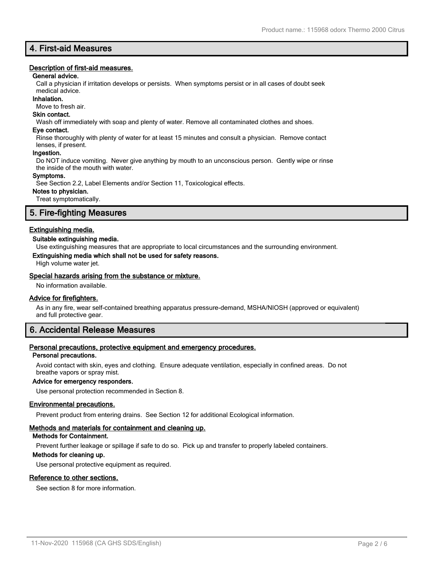## **4. First-aid Measures**

#### **Description of first-aid measures.**

#### **General advice.**

Call a physician if irritation develops or persists. When symptoms persist or in all cases of doubt seek

#### medical advice. **Inhalation.**

Move to fresh air.

## **Skin contact.**

Wash off immediately with soap and plenty of water. Remove all contaminated clothes and shoes.

#### **Eye contact.**

Rinse thoroughly with plenty of water for at least 15 minutes and consult a physician. Remove contact lenses, if present.

#### **Ingestion.**

Do NOT induce vomiting. Never give anything by mouth to an unconscious person. Gently wipe or rinse the inside of the mouth with water.

#### **Symptoms.**

See Section 2.2, Label Elements and/or Section 11, Toxicological effects.

#### **Notes to physician.**

Treat symptomatically.

## **5. Fire-fighting Measures**

#### **Extinguishing media.**

#### **Suitable extinguishing media.**

Use extinguishing measures that are appropriate to local circumstances and the surrounding environment.

#### **Extinguishing media which shall not be used for safety reasons.**

High volume water jet.

#### **Special hazards arising from the substance or mixture.**

No information available.

#### **Advice for firefighters.**

As in any fire, wear self-contained breathing apparatus pressure-demand, MSHA/NIOSH (approved or equivalent) and full protective gear.

## **6. Accidental Release Measures**

#### **Personal precautions, protective equipment and emergency procedures.**

#### **Personal precautions.**

Avoid contact with skin, eyes and clothing. Ensure adequate ventilation, especially in confined areas. Do not breathe vapors or spray mist.

#### **Advice for emergency responders.**

Use personal protection recommended in Section 8.

#### **Environmental precautions.**

Prevent product from entering drains. See Section 12 for additional Ecological information.

#### **Methods and materials for containment and cleaning up.**

#### **Methods for Containment.**

Prevent further leakage or spillage if safe to do so. Pick up and transfer to properly labeled containers.

#### **Methods for cleaning up.**

Use personal protective equipment as required.

#### **Reference to other sections.**

See section 8 for more information.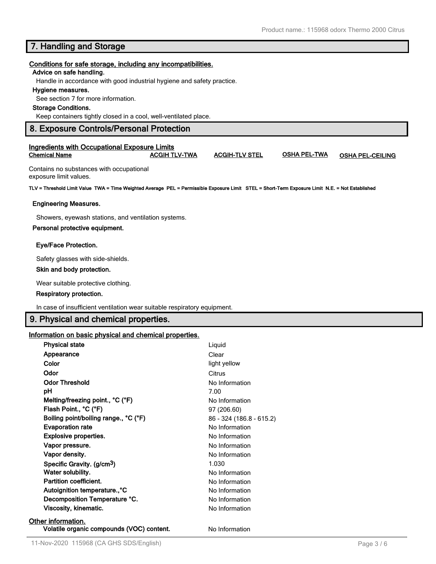## **7. Handling and Storage**

#### **Conditions for safe storage, including any incompatibilities.**

#### **Advice on safe handling.**

Handle in accordance with good industrial hygiene and safety practice.

#### **Hygiene measures.**

See section 7 for more information.

#### **Storage Conditions.**

Keep containers tightly closed in a cool, well-ventilated place.

### **8. Exposure Controls/Personal Protection**

#### **Ingredients with Occupational Exposure Limits Chemical Name ACGIH TLV-TWA ACGIH-TLV STEL OSHA PEL-TWA OSHA PEL-CEILING**

Contains no substances with occupational exposure limit values.

**TLV = Threshold Limit Value TWA = Time Weighted Average PEL = Permissible Exposure Limit STEL = Short-Term Exposure Limit N.E. = Not Established**

#### **Engineering Measures.**

Showers, eyewash stations, and ventilation systems.

#### **Personal protective equipment.**

#### **Eye/Face Protection.**

Safety glasses with side-shields.

#### **Skin and body protection.**

Wear suitable protective clothing.

#### **Respiratory protection.**

In case of insufficient ventilation wear suitable respiratory equipment.

## **9. Physical and chemical properties.**

#### **Information on basic physical and chemical properties.**

| <b>Physical state</b>                     | Liquid                   |
|-------------------------------------------|--------------------------|
| Appearance                                | Clear                    |
| Color                                     | light yellow             |
| Odor                                      | Citrus                   |
| <b>Odor Threshold</b>                     | No Information           |
| рH                                        | 7.00                     |
| Melting/freezing point., °C (°F)          | No Information           |
| Flash Point., °C (°F)                     | 97 (206.60)              |
| Boiling point/boiling range., °C (°F)     | 86 - 324 (186.8 - 615.2) |
| <b>Evaporation rate</b>                   | No Information           |
| <b>Explosive properties.</b>              | No Information           |
| Vapor pressure.                           | No Information           |
| Vapor density.                            | No Information           |
| Specific Gravity. (g/cm <sup>3</sup> )    | 1.030                    |
| Water solubility.                         | No Information           |
| <b>Partition coefficient.</b>             | No Information           |
| Autoignition temperature., °C             | No Information           |
| Decomposition Temperature °C.             | No Information           |
| Viscosity, kinematic.                     | No Information           |
| Other information.                        |                          |
| Volatile organic compounds (VOC) content. | No Information           |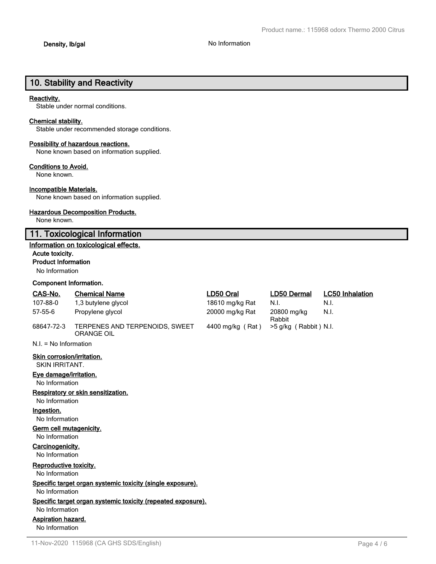# **10. Stability and Reactivity**

#### **Reactivity.**

Stable under normal conditions.

#### **Chemical stability.**

Stable under recommended storage conditions.

#### **Possibility of hazardous reactions.**

None known based on information supplied.

#### **Conditions to Avoid.**

None known.

#### **Incompatible Materials.**

None known based on information supplied.

#### **Hazardous Decomposition Products.**

None known.

## **11. Toxicological Information**

### **Information on toxicological effects.**

#### **Acute toxicity.**

#### **Product Information**

No Information

#### **Component Information.**

| CAS-No.                                             | <b>Chemical Name</b>                                         | LD50 Oral        | <b>LD50 Dermal</b>    | <b>LC50 Inhalation</b> |
|-----------------------------------------------------|--------------------------------------------------------------|------------------|-----------------------|------------------------|
| 107-88-0                                            | 1,3 butylene glycol                                          | 18610 mg/kg Rat  | N.I.                  | N.I.                   |
| $57 - 55 - 6$                                       | Propylene glycol                                             | 20000 mg/kg Rat  | 20800 mg/kg<br>Rabbit | N.I.                   |
| 68647-72-3                                          | TERPENES AND TERPENOIDS, SWEET<br>ORANGE OIL                 | 4400 mg/kg (Rat) | >5 g/kg (Rabbit) N.I. |                        |
| $N.I. = No Information$                             |                                                              |                  |                       |                        |
| Skin corrosion/irritation.<br><b>SKIN IRRITANT.</b> |                                                              |                  |                       |                        |
| Eye damage/irritation.<br>No Information            |                                                              |                  |                       |                        |
|                                                     | Respiratory or skin sensitization.                           |                  |                       |                        |
| No Information                                      |                                                              |                  |                       |                        |
| Ingestion.                                          |                                                              |                  |                       |                        |
| No Information                                      |                                                              |                  |                       |                        |
| Germ cell mutagenicity.                             |                                                              |                  |                       |                        |
| No Information                                      |                                                              |                  |                       |                        |
| Carcinogenicity.<br>No Information                  |                                                              |                  |                       |                        |
| Reproductive toxicity.<br>No Information            |                                                              |                  |                       |                        |
| No Information                                      | Specific target organ systemic toxicity (single exposure).   |                  |                       |                        |
| No Information                                      | Specific target organ systemic toxicity (repeated exposure). |                  |                       |                        |
| Aspiration hazard.                                  |                                                              |                  |                       |                        |
| No Information                                      |                                                              |                  |                       |                        |
|                                                     |                                                              |                  |                       |                        |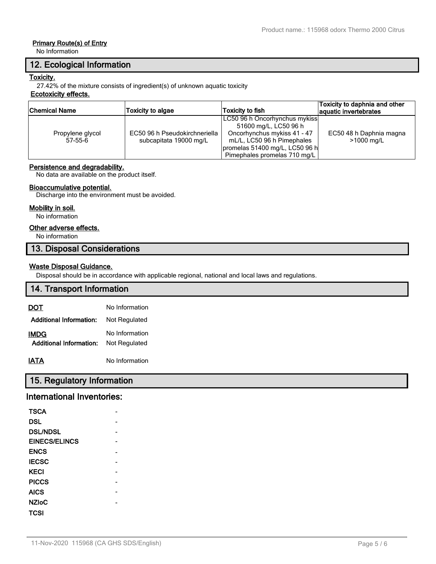## **Primary Route(s) of Entry**

No Information

## **12. Ecological Information**

### **Toxicity.**

27.42% of the mixture consists of ingredient(s) of unknown aquatic toxicity

## **Ecotoxicity effects.**

| Chemical Name    | <b>Toxicity to algae</b>      | Toxicity to fish               | Toxicity to daphnia and other<br>aquatic invertebrates |  |
|------------------|-------------------------------|--------------------------------|--------------------------------------------------------|--|
|                  |                               | LC50 96 h Oncorhynchus mykiss  |                                                        |  |
|                  |                               | 51600 mg/L, LC50 96 h          |                                                        |  |
| Propylene glycol | EC50 96 h Pseudokirchneriella | Oncorhynchus mykiss 41 - 47    | EC50 48 h Daphnia magna                                |  |
| $57-55-6$        | subcapitata 19000 mg/L        | mL/L, LC50 96 h Pimephales     | >1000 mg/L                                             |  |
|                  |                               | promelas 51400 mg/L, LC50 96 h |                                                        |  |
|                  |                               | Pimephales promelas 710 mg/L   |                                                        |  |

## **Persistence and degradability.**

No data are available on the product itself.

### **Bioaccumulative potential.**

Discharge into the environment must be avoided.

#### **Mobility in soil.**

No information

#### **Other adverse effects.**

No information

## **13. Disposal Considerations**

## **Waste Disposal Guidance.**

Disposal should be in accordance with applicable regional, national and local laws and regulations.

## **14. Transport Information**

| DOT                                    | No Information                  |
|----------------------------------------|---------------------------------|
| <b>Additional Information:</b>         | Not Regulated                   |
| IMDG<br><b>Additional Information:</b> | No Information<br>Not Regulated |
| IATA                                   | No Information                  |

## **15. Regulatory Information**

## **International Inventories:**

| <b>TSCA</b>          |  |
|----------------------|--|
| <b>DSL</b>           |  |
| <b>DSL/NDSL</b>      |  |
| <b>EINECS/ELINCS</b> |  |
| <b>ENCS</b>          |  |
| <b>IECSC</b>         |  |
| <b>KECI</b>          |  |
| <b>PICCS</b>         |  |
| <b>AICS</b>          |  |
| <b>NZIoC</b>         |  |
| TCSI                 |  |